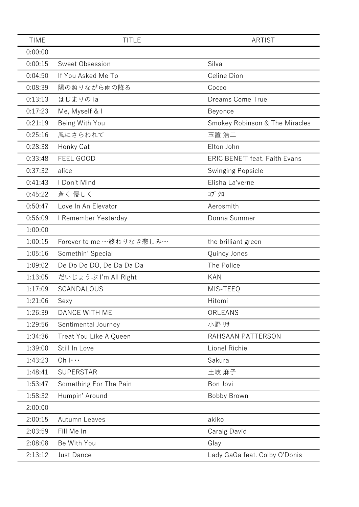| <b>TIME</b> | <b>TITLE</b>             | <b>ARTIST</b>                        |
|-------------|--------------------------|--------------------------------------|
| 0:00:00     |                          |                                      |
| 0:00:15     | Sweet Obsession          | Silva                                |
| 0:04:50     | If You Asked Me To       | Celine Dion                          |
| 0:08:39     | 陽の照りながら雨の降る              | Cocco                                |
| 0:13:13     | はじまりのla                  | Dreams Come True                     |
| 0:17:23     | Me, Myself & I           | Beyonce                              |
| 0:21:19     | Being With You           | Smokey Robinson & The Miracles       |
| 0:25:16     | 風にさらわれて                  | 玉置 浩二                                |
| 0:28:38     | Honky Cat                | Elton John                           |
| 0:33:48     | FEEL GOOD                | <b>ERIC BENE'T feat. Faith Evans</b> |
| 0:37:32     | alice                    | <b>Swinging Popsicle</b>             |
| 0:41:43     | I Don't Mind             | Elisha La'verne                      |
| 0:45:22     | 蒼く 優しく                   | コブクロ                                 |
| 0:50:47     | Love In An Elevator      | Aerosmith                            |
| 0:56:09     | I Remember Yesterday     | Donna Summer                         |
| 1:00:00     |                          |                                      |
| 1:00:15     | Forever to me ~終わりなき悲しみ~ | the brilliant green                  |
| 1:05:16     | Somethin' Special        | Quincy Jones                         |
| 1:09:02     | De Do Do DO, De Da Da Da | The Police                           |
| 1:13:05     | だいじょうぶ I'm All Right     | <b>KAN</b>                           |
| 1:17:09     | SCANDALOUS               | MIS-TEEQ                             |
| 1:21:06     | Sexy                     | Hitomi                               |
| 1:26:39     | DANCE WITH ME            | ORLEANS                              |
| 1:29:56     | Sentimental Journey      | 小野帅                                  |
| 1:34:36     | Treat You Like A Queen   | RAHSAAN PATTERSON                    |
| 1:39:00     | Still In Love            | Lionel Richie                        |
| 1:43:23     | $Oh \cdots$              | Sakura                               |
| 1:48:41     | <b>SUPERSTAR</b>         | 土岐 麻子                                |
| 1:53:47     | Something For The Pain   | Bon Jovi                             |
| 1:58:32     | Humpin' Around           | Bobby Brown                          |
| 2:00:00     |                          |                                      |
| 2:00:15     | Autumn Leaves            | akiko                                |
| 2:03:59     | Fill Me In               | Caraig David                         |
| 2:08:08     | Be With You              | Glay                                 |
| 2:13:12     | Just Dance               | Lady GaGa feat. Colby O'Donis        |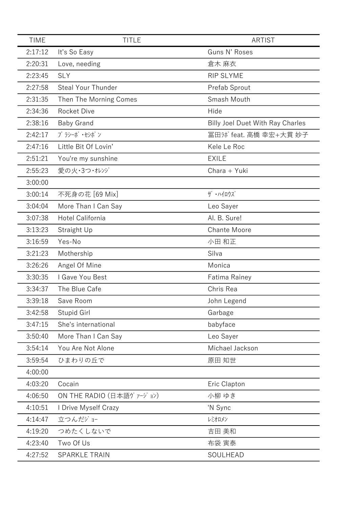| <b>TIME</b> | <b>TITLE</b>             | <b>ARTIST</b>                           |
|-------------|--------------------------|-----------------------------------------|
| 2:17:12     | It's So Easy             | Guns N' Roses                           |
| 2:20:31     | Love, needing            | 倉木 麻衣                                   |
| 2:23:45     | <b>SLY</b>               | <b>RIP SLYME</b>                        |
| 2:27:58     | Steal Your Thunder       | Prefab Sprout                           |
| 2:31:35     | Then The Morning Comes   | Smash Mouth                             |
| 2:34:36     | <b>Rocket Dive</b>       | Hide                                    |
| 2:38:16     | <b>Baby Grand</b>        | <b>Billy Joel Duet With Ray Charles</b> |
| 2:42:17     | プラシーボ・セシボン               | 冨田3 feat. 高橋 幸宏+大貫 妙子                   |
| 2:47:16     | Little Bit Of Lovin'     | Kele Le Roc                             |
| 2:51:21     | You're my sunshine       | <b>EXILE</b>                            |
| 2:55:23     | 愛の火・3つ・オレンジ              | Chara + Yuki                            |
| 3:00:00     |                          |                                         |
| 3:00:14     | 不死身の花 [69 Mix]           | ザ・ハイロウズ                                 |
| 3:04:04     | More Than I Can Say      | Leo Sayer                               |
| 3:07:38     | Hotel California         | Al. B. Sure!                            |
| 3:13:23     | Straight Up              | <b>Chante Moore</b>                     |
| 3:16:59     | Yes-No                   | 小田 和正                                   |
| 3:21:23     | Mothership               | Silva                                   |
| 3:26:26     | Angel Of Mine            | Monica                                  |
| 3:30:35     | I Gave You Best          | <b>Fatima Rainey</b>                    |
| 3:34:37     | The Blue Cafe            | Chris Rea                               |
| 3:39:18     | Save Room                | John Legend                             |
| 3:42:58     | Stupid Girl              | Garbage                                 |
| 3:47:15     | She's international      | babyface                                |
| 3:50:40     | More Than I Can Say      | Leo Sayer                               |
| 3:54:14     | You Are Not Alone        | Michael Jackson                         |
| 3:59:54     | ひまわりの丘で                  | 原田 知世                                   |
| 4:00:00     |                          |                                         |
| 4:03:20     | Cocain                   | Eric Clapton                            |
| 4:06:50     | ON THE RADIO (日本語ヴァージョン) | 小柳 ゆき                                   |
| 4:10:51     | I Drive Myself Crazy     | 'N Sync                                 |
| 4:14:47     | 立つんだジョー                  | レミオロメン                                  |
| 4:19:20     | つめたくしないで                 | 吉田 美和                                   |
| 4:23:40     | Two Of Us                | 布袋 寅泰                                   |
| 4:27:52     | <b>SPARKLE TRAIN</b>     | SOULHEAD                                |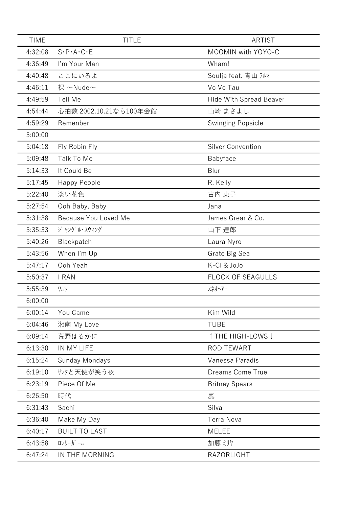| <b>TIME</b><br><b>TITLE</b><br><b>ARTIST</b><br>MOOMIN with YOYO-C<br>4:32:08<br>$S \cdot P \cdot A \cdot C \cdot E$<br>4:36:49<br>I'm Your Man<br>Wham!<br>ここにいるよ<br>4:40:48<br>Soulja feat. 青山 テルマ<br>裸 ~Nude~<br>4:46:11<br>Vo Vo Tau<br>4:49:59<br>Tell Me<br><b>Hide With Spread Beaver</b><br>4:54:44<br>心拍数 2002.10.21なら100年会館<br>山崎 まさよし<br>4:59:29<br>Remenber<br><b>Swinging Popsicle</b><br>5:00:00<br>5:04:18<br><b>Silver Convention</b><br>Fly Robin Fly<br>5:09:48<br>Babyface<br>Talk To Me<br>5:14:33<br>It Could Be<br>Blur<br>5:17:45<br>R. Kelly<br>Happy People<br>淡い花色<br>古内 東子<br>5:22:40<br>5:27:54<br>Ooh Baby, Baby<br>Jana<br>5:31:38<br>Because You Loved Me<br>James Grear & Co.<br>5:35:33<br>ジャング ル・スウィング<br>山下 達郎<br>5:40:26<br>Blackpatch<br>Laura Nyro<br>5:43:56<br>When I'm Up<br>Grate Big Sea<br>K-Ci & JoJo<br>5:47:17<br>Ooh Yeah<br>5:50:37<br><b>FLOCK OF SEAGULLS</b><br>I RAN<br>5:55:39<br>スネオヘアー<br>ワルツ<br>6:00:00<br>6:00:14<br>You Came<br>Kim Wild |
|-----------------------------------------------------------------------------------------------------------------------------------------------------------------------------------------------------------------------------------------------------------------------------------------------------------------------------------------------------------------------------------------------------------------------------------------------------------------------------------------------------------------------------------------------------------------------------------------------------------------------------------------------------------------------------------------------------------------------------------------------------------------------------------------------------------------------------------------------------------------------------------------------------------------------------------------------------------------------------------------------------|
|                                                                                                                                                                                                                                                                                                                                                                                                                                                                                                                                                                                                                                                                                                                                                                                                                                                                                                                                                                                                     |
|                                                                                                                                                                                                                                                                                                                                                                                                                                                                                                                                                                                                                                                                                                                                                                                                                                                                                                                                                                                                     |
|                                                                                                                                                                                                                                                                                                                                                                                                                                                                                                                                                                                                                                                                                                                                                                                                                                                                                                                                                                                                     |
|                                                                                                                                                                                                                                                                                                                                                                                                                                                                                                                                                                                                                                                                                                                                                                                                                                                                                                                                                                                                     |
|                                                                                                                                                                                                                                                                                                                                                                                                                                                                                                                                                                                                                                                                                                                                                                                                                                                                                                                                                                                                     |
|                                                                                                                                                                                                                                                                                                                                                                                                                                                                                                                                                                                                                                                                                                                                                                                                                                                                                                                                                                                                     |
|                                                                                                                                                                                                                                                                                                                                                                                                                                                                                                                                                                                                                                                                                                                                                                                                                                                                                                                                                                                                     |
|                                                                                                                                                                                                                                                                                                                                                                                                                                                                                                                                                                                                                                                                                                                                                                                                                                                                                                                                                                                                     |
|                                                                                                                                                                                                                                                                                                                                                                                                                                                                                                                                                                                                                                                                                                                                                                                                                                                                                                                                                                                                     |
|                                                                                                                                                                                                                                                                                                                                                                                                                                                                                                                                                                                                                                                                                                                                                                                                                                                                                                                                                                                                     |
|                                                                                                                                                                                                                                                                                                                                                                                                                                                                                                                                                                                                                                                                                                                                                                                                                                                                                                                                                                                                     |
|                                                                                                                                                                                                                                                                                                                                                                                                                                                                                                                                                                                                                                                                                                                                                                                                                                                                                                                                                                                                     |
|                                                                                                                                                                                                                                                                                                                                                                                                                                                                                                                                                                                                                                                                                                                                                                                                                                                                                                                                                                                                     |
|                                                                                                                                                                                                                                                                                                                                                                                                                                                                                                                                                                                                                                                                                                                                                                                                                                                                                                                                                                                                     |
|                                                                                                                                                                                                                                                                                                                                                                                                                                                                                                                                                                                                                                                                                                                                                                                                                                                                                                                                                                                                     |
|                                                                                                                                                                                                                                                                                                                                                                                                                                                                                                                                                                                                                                                                                                                                                                                                                                                                                                                                                                                                     |
|                                                                                                                                                                                                                                                                                                                                                                                                                                                                                                                                                                                                                                                                                                                                                                                                                                                                                                                                                                                                     |
|                                                                                                                                                                                                                                                                                                                                                                                                                                                                                                                                                                                                                                                                                                                                                                                                                                                                                                                                                                                                     |
|                                                                                                                                                                                                                                                                                                                                                                                                                                                                                                                                                                                                                                                                                                                                                                                                                                                                                                                                                                                                     |
|                                                                                                                                                                                                                                                                                                                                                                                                                                                                                                                                                                                                                                                                                                                                                                                                                                                                                                                                                                                                     |
|                                                                                                                                                                                                                                                                                                                                                                                                                                                                                                                                                                                                                                                                                                                                                                                                                                                                                                                                                                                                     |
|                                                                                                                                                                                                                                                                                                                                                                                                                                                                                                                                                                                                                                                                                                                                                                                                                                                                                                                                                                                                     |
|                                                                                                                                                                                                                                                                                                                                                                                                                                                                                                                                                                                                                                                                                                                                                                                                                                                                                                                                                                                                     |
|                                                                                                                                                                                                                                                                                                                                                                                                                                                                                                                                                                                                                                                                                                                                                                                                                                                                                                                                                                                                     |
| 6:04:46<br><b>TUBE</b><br>湘南 My Love                                                                                                                                                                                                                                                                                                                                                                                                                                                                                                                                                                                                                                                                                                                                                                                                                                                                                                                                                                |
| 6:09:14<br>荒野はるかに<br>↑ THE HIGH-LOWS ↓                                                                                                                                                                                                                                                                                                                                                                                                                                                                                                                                                                                                                                                                                                                                                                                                                                                                                                                                                              |
| IN MY LIFE<br>6:13:30<br><b>ROD TEWART</b>                                                                                                                                                                                                                                                                                                                                                                                                                                                                                                                                                                                                                                                                                                                                                                                                                                                                                                                                                          |
| 6:15:24<br>Sunday Mondays<br>Vanessa Paradis                                                                                                                                                                                                                                                                                                                                                                                                                                                                                                                                                                                                                                                                                                                                                                                                                                                                                                                                                        |
| サンタと天使が笑う夜<br>6:19:10<br><b>Dreams Come True</b>                                                                                                                                                                                                                                                                                                                                                                                                                                                                                                                                                                                                                                                                                                                                                                                                                                                                                                                                                    |
| 6:23:19<br>Piece Of Me<br><b>Britney Spears</b>                                                                                                                                                                                                                                                                                                                                                                                                                                                                                                                                                                                                                                                                                                                                                                                                                                                                                                                                                     |
| 6:26:50<br>時代<br>嵐                                                                                                                                                                                                                                                                                                                                                                                                                                                                                                                                                                                                                                                                                                                                                                                                                                                                                                                                                                                  |
| 6:31:43<br>Sachi<br>Silva                                                                                                                                                                                                                                                                                                                                                                                                                                                                                                                                                                                                                                                                                                                                                                                                                                                                                                                                                                           |
| 6:36:40<br>Make My Day<br><b>Terra Nova</b>                                                                                                                                                                                                                                                                                                                                                                                                                                                                                                                                                                                                                                                                                                                                                                                                                                                                                                                                                         |
| <b>BUILT TO LAST</b><br>6:40:17<br><b>MELEE</b>                                                                                                                                                                                                                                                                                                                                                                                                                                                                                                                                                                                                                                                                                                                                                                                                                                                                                                                                                     |
| ロンリーガール<br>6:43:58<br>加藤 ミリヤ                                                                                                                                                                                                                                                                                                                                                                                                                                                                                                                                                                                                                                                                                                                                                                                                                                                                                                                                                                        |
| 6:47:24<br>IN THE MORNING<br>RAZORLIGHT                                                                                                                                                                                                                                                                                                                                                                                                                                                                                                                                                                                                                                                                                                                                                                                                                                                                                                                                                             |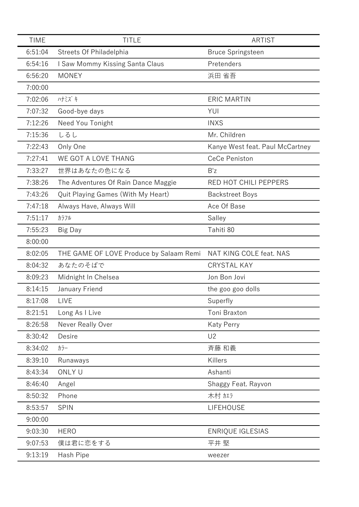| <b>TIME</b> | <b>TITLE</b>                            | <b>ARTIST</b>                   |
|-------------|-----------------------------------------|---------------------------------|
| 6:51:04     | Streets Of Philadelphia                 | <b>Bruce Springsteen</b>        |
| 6:54:16     | I Saw Mommy Kissing Santa Claus         | Pretenders                      |
| 6:56:20     | <b>MONEY</b>                            | 浜田 省吾                           |
| 7:00:00     |                                         |                                 |
| 7:02:06     | ハナミズキ                                   | <b>ERIC MARTIN</b>              |
| 7:07:32     | Good-bye days                           | YUI                             |
| 7:12:26     | Need You Tonight                        | <b>INXS</b>                     |
| 7:15:36     | しるし                                     | Mr. Children                    |
| 7:22:43     | Only One                                | Kanye West feat. Paul McCartney |
| 7:27:41     | WE GOT A LOVE THANG                     | CeCe Peniston                   |
| 7:33:27     | 世界はあなたの色になる                             | B'z                             |
| 7:38:26     | The Adventures Of Rain Dance Maggie     | RED HOT CHILI PEPPERS           |
| 7:43:26     | Quit Playing Games (With My Heart)      | <b>Backstreet Boys</b>          |
| 7:47:18     | Always Have, Always Will                | Ace Of Base                     |
| 7:51:17     | カラフル                                    | Salley                          |
| 7:55:23     | Big Day                                 | Tahiti 80                       |
| 8:00:00     |                                         |                                 |
| 8:02:05     | THE GAME OF LOVE Produce by Salaam Remi | NAT KING COLE feat. NAS         |
| 8:04:32     | あなたのそばで                                 | <b>CRYSTAL KAY</b>              |
| 8:09:23     | Midnight In Chelsea                     | Jon Bon Jovi                    |
| 8:14:15     | January Friend                          | the goo goo dolls               |
| 8:17:08     | LIVE                                    | Superfly                        |
| 8:21:51     | Long As I Live                          | Toni Braxton                    |
| 8:26:58     | Never Really Over                       | <b>Katy Perry</b>               |
| 8:30:42     | Desire                                  | U <sub>2</sub>                  |
| 8:34:02     | カラー                                     | 斉藤 和義                           |
| 8:39:10     | Runaways                                | Killers                         |
| 8:43:34     | ONLY U                                  | Ashanti                         |
| 8:46:40     | Angel                                   | Shaggy Feat. Rayvon             |
| 8:50:32     | Phone                                   | 木村加                             |
| 8:53:57     | <b>SPIN</b>                             | <b>LIFEHOUSE</b>                |
| 9:00:00     |                                         |                                 |
| 9:03:30     | <b>HERO</b>                             | <b>ENRIQUE IGLESIAS</b>         |
| 9:07:53     | 僕は君に恋をする                                | 平井 堅                            |
| 9:13:19     | Hash Pipe                               | weezer                          |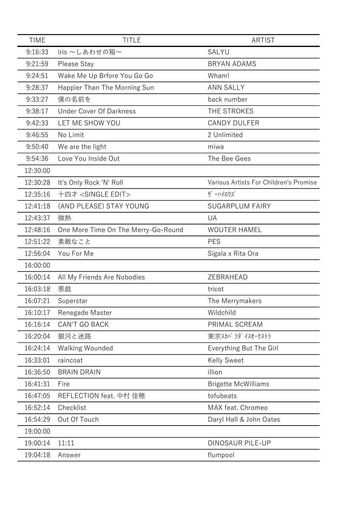| <b>TIME</b> | <b>TITLE</b>                        | <b>ARTIST</b>                          |
|-------------|-------------------------------------|----------------------------------------|
| 9:16:33     | iris $\sim$ しあわせの箱 $\sim$           | SALYU                                  |
| 9:21:59     | Please Stay                         | <b>BRYAN ADAMS</b>                     |
| 9:24:51     | Wake Me Up Brfore You Go Go         | Wham!                                  |
| 9:28:37     | Happier Than The Morning Sun        | <b>ANN SALLY</b>                       |
| 9:33:27     | 僕の名前を                               | back number                            |
| 9:38:17     | <b>Under Cover Of Darkness</b>      | THE STROKES                            |
| 9:42:33     | LET ME SHOW YOU                     | <b>CANDY DULFER</b>                    |
| 9:46:55     | No Limit                            | 2 Unlimited                            |
| 9:50:40     | We are the light                    | miwa                                   |
| 9:54:36     | Love You Inside Out                 | The Bee Gees                           |
| 12:30:00    |                                     |                                        |
| 12:30:28    | It's Only Rock 'N' Roll             | Various Artists For Children's Promise |
| 12:35:16    | 十四才 <single edit=""></single>       | ザ・ハイロウズ                                |
| 12:41:18    | (AND PLEASE) STAY YOUNG             | <b>SUGARPLUM FAIRY</b>                 |
| 12:43:37    | 微熱                                  | UA                                     |
| 12:48:16    | One More Time On The Merry-Go-Round | <b>WOUTER HAMEL</b>                    |
| 12:51:22    | 素敵なこと                               | <b>PES</b>                             |
| 12:56:04    | You For Me                          | Sigala x Rita Ora                      |
| 16:00:00    |                                     |                                        |
| 16:00:14    | All My Friends Are Nobodies         | ZEBRAHEAD                              |
| 16:03:18    | 悪戯                                  | tricot                                 |
| 16:07:21    | Superstar                           | The Merrymakers                        |
| 16:10:17    | Renegade Master                     | Wildchild                              |
| 16:16:14    | <b>CAN'T GO BACK</b>                | PRIMAL SCREAM                          |
| 16:20:04    | 銀河と迷路                               | 東京スカパラダイスオーケストラ                        |
| 16:24:14    | <b>Walking Wounded</b>              | Everything But The Girl                |
| 16:33:01    | raincoat                            | <b>Kelly Sweet</b>                     |
| 16:36:50    | <b>BRAIN DRAIN</b>                  | illion                                 |
| 16:41:31    | Fire                                | <b>Brigette McWilliams</b>             |
| 16:47:05    | REFLECTION feat. 中村 佳穂              | tofubeats                              |
| 16:52:14    | Checklist                           | MAX feat. Chromeo                      |
| 16:54:29    | Out Of Touch                        | Daryl Hall & John Oates                |
| 19:00:00    |                                     |                                        |
| 19:00:14    | 11:11                               | <b>DINOSAUR PILE-UP</b>                |
| 19:04:18    | Answer                              | flumpool                               |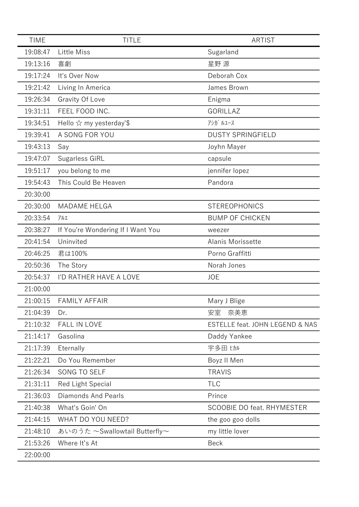| <b>TIME</b> | <b>TITLE</b>                             | <b>ARTIST</b>                   |
|-------------|------------------------------------------|---------------------------------|
| 19:08:47    | <b>Little Miss</b>                       | Sugarland                       |
| 19:13:16    | 喜劇                                       | 星野 源                            |
| 19:17:24    | It's Over Now                            | Deborah Cox                     |
| 19:21:42    | Living In America                        | James Brown                     |
| 19:26:34    | Gravity Of Love                          | Enigma                          |
| 19:31:11    | FEEL FOOD INC.                           | GORILLAZ                        |
| 19:34:51    | Hello $\hat{\mathbf{x}}$ my yesterday'\$ | アシガ ルユース                        |
| 19:39:41    | A SONG FOR YOU                           | <b>DUSTY SPRINGFIELD</b>        |
| 19:43:13    | Say                                      | Joyhn Mayer                     |
| 19:47:07    | Sugarless GiRL                           | capsule                         |
| 19:51:17    | you belong to me                         | jennifer lopez                  |
| 19:54:43    | This Could Be Heaven                     | Pandora                         |
| 20:30:00    |                                          |                                 |
| 20:30:00    | <b>MADAME HELGA</b>                      | <b>STEREOPHONICS</b>            |
| 20:33:54    | アルエ                                      | <b>BUMP OF CHICKEN</b>          |
| 20:38:27    | If You're Wondering If I Want You        | weezer                          |
| 20:41:54    | Uninvited                                | Alanis Morissette               |
| 20:46:25    | 君は100%                                   | Porno Graffitti                 |
| 20:50:36    | The Story                                | Norah Jones                     |
| 20:54:37    | I'D RATHER HAVE A LOVE                   | <b>JOE</b>                      |
| 21:00:00    |                                          |                                 |
| 21:00:15    | <b>FAMILY AFFAIR</b>                     | Mary J Blige                    |
| 21:04:39    | Dr.                                      | 安室<br>奈美恵                       |
| 21:10:32    | <b>FALL IN LOVE</b>                      | ESTELLE feat. JOHN LEGEND & NAS |
| 21:14:17    | Gasolina                                 | Daddy Yankee                    |
| 21:17:39    | Eternally                                | 宇多田 ヒカル                         |
| 21:22:21    | Do You Remember                          | Boyz II Men                     |
| 21:26:34    | SONG TO SELF                             | <b>TRAVIS</b>                   |
| 21:31:11    | <b>Red Light Special</b>                 | <b>TLC</b>                      |
| 21:36:03    | Diamonds And Pearls                      | Prince                          |
| 21:40:38    | What's Goin' On                          | SCOOBIE DO feat. RHYMESTER      |
| 21:44:15    | WHAT DO YOU NEED?                        | the goo goo dolls               |
| 21:48:10    | あいのうた ~Swallowtail Butterfly~            | my little lover                 |
| 21:53:26    | Where It's At                            | <b>Beck</b>                     |
| 22:00:00    |                                          |                                 |